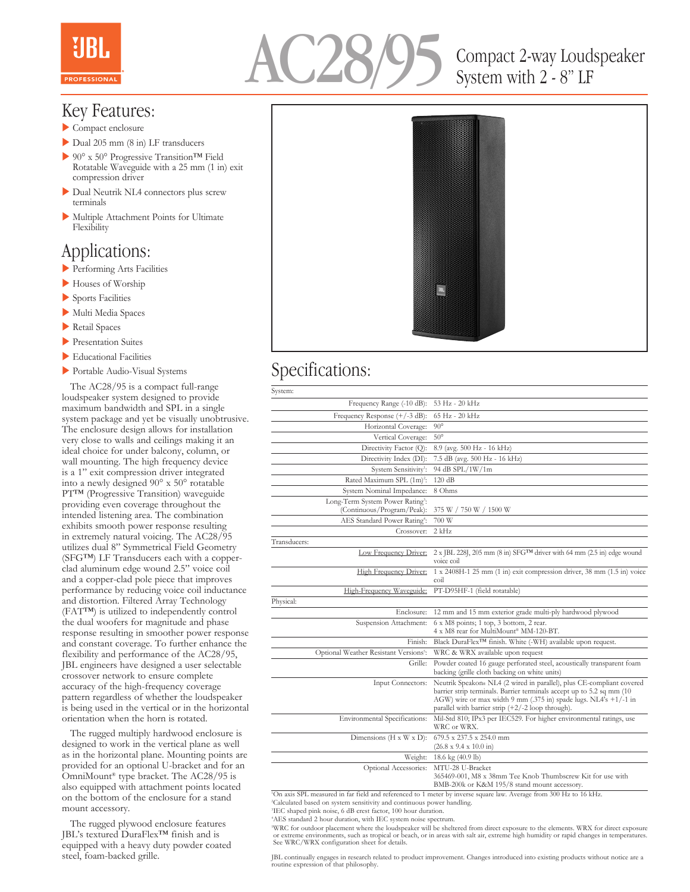



# Compact 2-way Loudspeaker System with 2 - 8" LF

### Key Features:

- $\blacktriangleright$  Compact enclosure
- Dual 205 mm  $(8 \text{ in})$  LF transducers
- ▶ 90° x 50° Progressive Transition<sup>™</sup> Field Rotatable Waveguide with a 25 mm (1 in) exit compression driver
- Dual Neutrik NL4 connectors plus screw terminals
- $\blacktriangleright$  Multiple Attachment Points for Ultimate Flexibility

## Applications:

- **Performing Arts Facilities**
- Houses of Worship
- $\blacktriangleright$  Sports Facilities
- Multi Media Spaces
- $\blacktriangleright$  Retail Spaces
- **Presentation Suites**
- $\blacktriangleright$  Educational Facilities
- **Portable Audio-Visual Systems**

 The AC28/95 is a compact full-range loudspeaker system designed to provide maximum bandwidth and SPL in a single system package and yet be visually unobtrusive. The enclosure design allows for installation very close to walls and ceilings making it an ideal choice for under balcony, column, or wall mounting. The high frequency device is a 1" exit compression driver integrated into a newly designed 90° x 50° rotatable PT™ (Progressive Transition) waveguide providing even coverage throughout the intended listening area. The combination exhibits smooth power response resulting in extremely natural voicing. The AC28/95 utilizes dual 8" Symmetrical Field Geometry (SFG™) LF Transducers each with a copperclad aluminum edge wound 2.5" voice coil and a copper-clad pole piece that improves performance by reducing voice coil inductance and distortion. Filtered Array Technology (FAT™) is utilized to independently control the dual woofers for magnitude and phase response resulting in smoother power response and constant coverage. To further enhance the flexibility and performance of the AC28/95, JBL engineers have designed a user selectable crossover network to ensure complete accuracy of the high-frequency coverage pattern regardless of whether the loudspeaker is being used in the vertical or in the horizontal orientation when the horn is rotated.

 The rugged multiply hardwood enclosure is designed to work in the vertical plane as well as in the horizontal plane. Mounting points are provided for an optional U-bracket and for an OmniMount® type bracket. The AC28/95 is also equipped with attachment points located on the bottom of the enclosure for a stand mount accessory.

 The rugged plywood enclosure features JBL's textured DuraFlex™ finish and is equipped with a heavy duty powder coated steel, foam-backed grille.



## Specifications:

| System:                                                                    |                                                                                                                                                                                                                                                                            |
|----------------------------------------------------------------------------|----------------------------------------------------------------------------------------------------------------------------------------------------------------------------------------------------------------------------------------------------------------------------|
| Frequency Range (-10 dB):                                                  | 53 Hz - 20 kHz                                                                                                                                                                                                                                                             |
| Frequency Response $(+/-3$ dB):                                            | 65 Hz - 20 kHz                                                                                                                                                                                                                                                             |
| Horizontal Coverage:                                                       | $90^\circ$                                                                                                                                                                                                                                                                 |
| Vertical Coverage:                                                         | $50^{\circ}$                                                                                                                                                                                                                                                               |
| Directivity Factor (Q):                                                    | 8.9 (avg. 500 Hz - 16 kHz)                                                                                                                                                                                                                                                 |
| Directivity Index (DI):                                                    | 7.5 dB (avg. 500 Hz - 16 kHz)                                                                                                                                                                                                                                              |
| System Sensitivity <sup>1</sup> :                                          | 94 dB SPL/1W/1m                                                                                                                                                                                                                                                            |
| Rated Maximum SPL (1m) <sup>2</sup> :                                      | 120 dB                                                                                                                                                                                                                                                                     |
| System Nominal Impedance:                                                  | 8 Ohms                                                                                                                                                                                                                                                                     |
| Long-Term System Power Rating <sup>3</sup> :<br>(Continuous/Program/Peak): | 375 W / 750 W / 1500 W                                                                                                                                                                                                                                                     |
| AES Standard Power Rating <sup>4</sup> :                                   | 700 W                                                                                                                                                                                                                                                                      |
| Crossover:                                                                 | $2$ kHz                                                                                                                                                                                                                                                                    |
| Transducers:                                                               |                                                                                                                                                                                                                                                                            |
| Low Frequency Driver:                                                      | $2 \times$ JBL 228J, 205 mm (8 in) SFG <sup>TM</sup> driver with 64 mm (2.5 in) edge wound<br>voice coil                                                                                                                                                                   |
| High Frequency Driver:                                                     | $1 \times 2408$ H-1 25 mm $(1 \text{ in})$ exit compression driver, 38 mm $(1.5 \text{ in})$ voice<br>coil                                                                                                                                                                 |
| High-Frequency Waveguide:                                                  | PT-D95HF-1 (field rotatable)                                                                                                                                                                                                                                               |
| Physical:                                                                  |                                                                                                                                                                                                                                                                            |
| Enclosure:                                                                 | 12 mm and 15 mm exterior grade multi-ply hardwood plywood                                                                                                                                                                                                                  |
| Suspension Attachment:                                                     | 6 x M8 points; 1 top, 3 bottom, 2 rear.<br>4 x M8 rear for MultiMount® MM-120-BT.                                                                                                                                                                                          |
| Finish:                                                                    | Black DuraFlex <sup>™</sup> finish. White (-WH) available upon request.                                                                                                                                                                                                    |
| Optional Weather Resistant Versions5:                                      | WRC & WRX available upon request                                                                                                                                                                                                                                           |
| Grille:                                                                    | Powder coated 16 gauge perforated steel, acoustically transparent foam<br>backing (grille cloth backing on white units)                                                                                                                                                    |
| <b>Input Connectors:</b>                                                   | Neutrik Speakon® NL4 (2 wired in parallel), plus CE-compliant covered<br>barrier strip terminals. Barrier terminals accept up to 5.2 sq mm (10)<br>AGW) wire or max width 9 mm (.375 in) spade lugs. NL4's +1/-1 in<br>parallel with barrier strip $(+2/-2$ loop through). |
| Environmental Specifications:                                              | Mil-Std 810; IPx3 per IEC529. For higher environmental ratings, use<br>WRC or WRX.                                                                                                                                                                                         |
| Dimensions ( $H \times W \times D$ ):                                      | 679.5 x 237.5 x 254.0 mm<br>$(26.8 \times 9.4 \times 10.0 \text{ in})$                                                                                                                                                                                                     |
| Weight:                                                                    | 18.6 kg (40.9 lb)                                                                                                                                                                                                                                                          |
| Optional Accessories:                                                      | MTU-28 U-Bracket<br>365469-001, M8 x 38mm Tee Knob Thumbscrew Kit for use with<br>BMB-200k or K&M 195/8 stand mount accessory.                                                                                                                                             |
|                                                                            |                                                                                                                                                                                                                                                                            |

1 On axis SPL measured in far field and referenced to 1 meter by inverse square law. Average from 300 Hz to 16 kHz.

2 Calculated based on system sensitivity and continuous power handling.

3 IEC shaped pink noise, 6 dB crest factor, 100 hour duration.

4 AES standard 2 hour duration, with IEC system noise spectrum.

<sup>4</sup>WRC for outdoor placement where the loudspeaker will be sheltered from direct exposure to the elements. WRX for direct exposure or extreme environments, such as tropical or beat or extreme environments, such as tropical

JBL continually engages in research related to product improvement. Changes introduced into existing products without notice are a routine expression of that philosophy.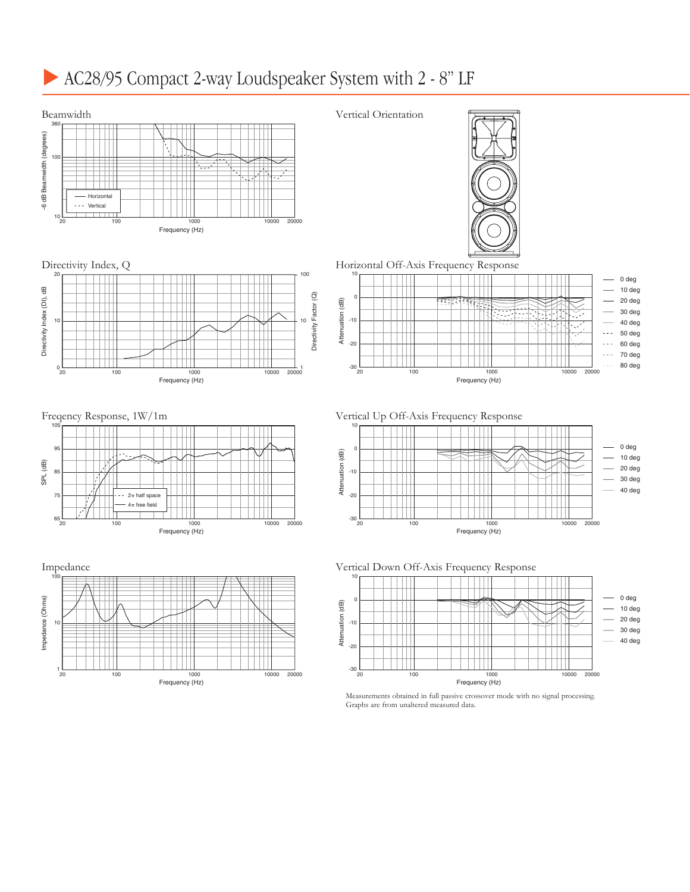# AC28/95 Compact 2-way Loudspeaker System with 2 - 8" LF

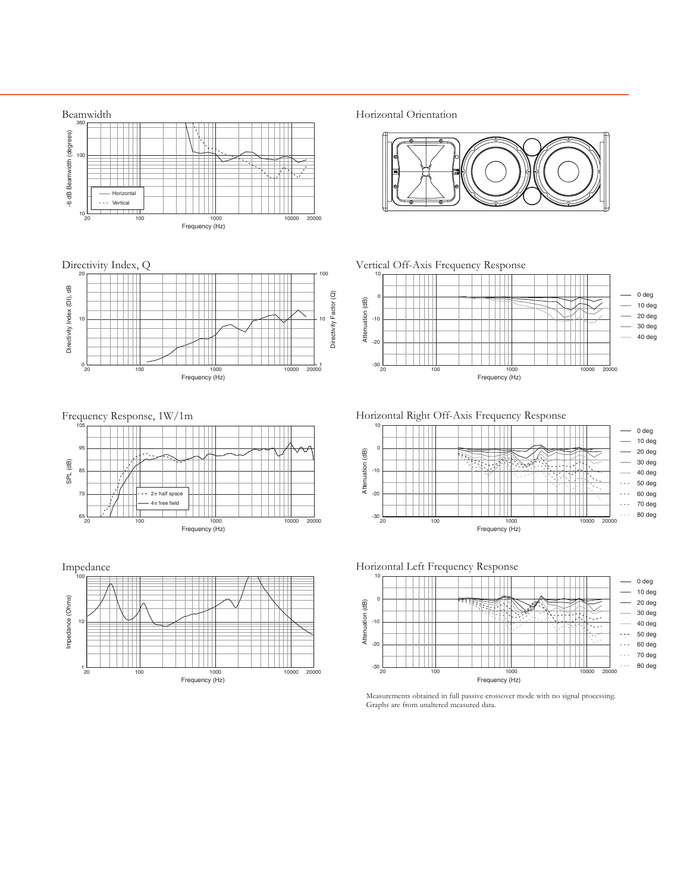





Horizontal Right Off-Axis Frequency Response



Horizontal Left Frequency Response



Measurements obtained in full passive crossover mode with no signal processing. Graphs are from unaltered measured data.